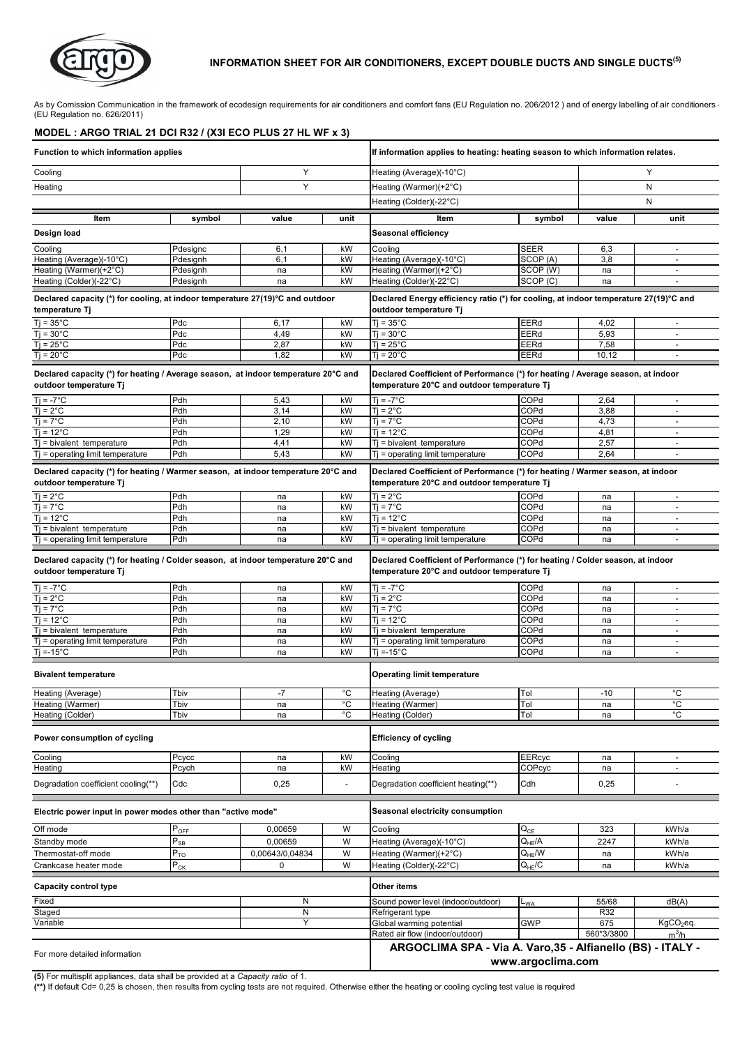

#### **INFORMATION SHEET FOR AIR CONDITIONERS, EXCEPT DOUBLE DUCTS AND SINGLE DUCTS(5)**

As by Comission Communication in the framework of ecodesign requirements for air conditioners and comfort fans (EU Regulation no. 206/2012 ) and of energy labelling of air conditioners  $\cdot$ (EU Regulation no. 626/2011)

#### **MODEL : ARGO TRIAL 21 DCI R32 / (X3I ECO PLUS 27 HL WF x 3)**

| Function to which information applies                                                                        |                            |                 |                          | If information applies to heating: heating season to which information relates.                                                |               |              |                                                      |
|--------------------------------------------------------------------------------------------------------------|----------------------------|-----------------|--------------------------|--------------------------------------------------------------------------------------------------------------------------------|---------------|--------------|------------------------------------------------------|
| Y<br>Cooling                                                                                                 |                            |                 | Heating (Average)(-10°C) |                                                                                                                                |               | Y            |                                                      |
| Y<br>Heating                                                                                                 |                            |                 |                          | Heating (Warmer)(+2°C)                                                                                                         |               | N            |                                                      |
|                                                                                                              |                            |                 |                          | Heating (Colder)(-22°C)                                                                                                        |               | Ν            |                                                      |
|                                                                                                              |                            |                 |                          |                                                                                                                                |               |              |                                                      |
| Item                                                                                                         | symbol                     | value           | unit                     | ltem                                                                                                                           | symbol        | value        | unit                                                 |
| Design load                                                                                                  |                            |                 |                          | Seasonal efficiency                                                                                                            |               |              |                                                      |
| Cooling                                                                                                      | Pdesignc                   | 6,1             | kW                       | Cooling                                                                                                                        | SEER          | 6,3          | $\overline{\phantom{a}}$                             |
| Heating (Average)(-10°C)                                                                                     | Pdesignh                   | 6,1             | kW                       | Heating (Average)(-10°C)                                                                                                       | SCOP (A)      | 3,8          | $\blacksquare$                                       |
| Heating (Warmer)(+2°C)                                                                                       | Pdesignh                   | na              | kW                       | Heating (Warmer)(+2°C)                                                                                                         | SCOP (W)      | na           | $\blacksquare$                                       |
| Heating (Colder)(-22°C)                                                                                      | Pdesignh                   | na              | kW                       | Heating (Colder)(-22°C)                                                                                                        | SCOP(C)       | na           | $\overline{a}$                                       |
| Declared capacity (*) for cooling, at indoor temperature 27(19)°C and outdoor<br>temperature Tj              |                            |                 |                          | Declared Energy efficiency ratio (*) for cooling, at indoor temperature 27(19)°C and<br>outdoor temperature Tj                 |               |              |                                                      |
| $Ti = 35^{\circ}C$                                                                                           | Pdc                        | 6,17            | kW                       | $Ti = 35^{\circ}C$                                                                                                             | EERd          | 4,02         |                                                      |
| $Ti = 30^{\circ}C$                                                                                           | Pdc                        | 4,49            | kW                       | $Ti = 30^{\circ}C$                                                                                                             | EERd          | 5,93         | $\blacksquare$                                       |
| $Ti = 25^{\circ}C$                                                                                           | Pdc                        | 2,87            | kW                       | $Ti = 25^{\circ}C$                                                                                                             | EERd<br>EERd  | 7,58         | $\overline{\phantom{a}}$                             |
| $Ti = 20^{\circ}C$                                                                                           | Pdc                        | 1,82            | kW                       | $Ti = 20^{\circ}C$                                                                                                             |               | 10,12        | $\blacksquare$                                       |
| Declared capacity (*) for heating / Average season, at indoor temperature 20°C and<br>outdoor temperature Tj |                            |                 |                          | Declared Coefficient of Performance (*) for heating / Average season, at indoor<br>temperature 20°C and outdoor temperature Tj |               |              |                                                      |
| $Ti = -7^{\circ}C$                                                                                           | Pdh                        | 5,43            | kW                       | $Ti = -7^{\circ}C$                                                                                                             | COPd          | 2,64         | $\overline{\phantom{a}}$                             |
| $Tj = 2^{\circ}C$                                                                                            | Pdh                        | 3,14            | kW                       | $Ti = 2^{\circ}C$                                                                                                              | COPd          | 3,88         | $\overline{\phantom{a}}$                             |
| $Ti = 7^{\circ}C$                                                                                            | Pdh                        | 2,10            | kW                       | $Ti = 7^{\circ}C$                                                                                                              | COPd          | 4,73         | $\overline{\phantom{a}}$                             |
| $Ti = 12^{\circ}C$<br>$Tj$ = bivalent temperature                                                            | Pdh<br>Pdh                 | 1,29<br>4,41    | kW<br>kW                 | $Ti = 12^{\circ}C$<br>$T$ = bivalent temperature                                                                               | COPd<br>COPd  | 4,81<br>2,57 | $\blacksquare$<br>$\overline{\phantom{a}}$           |
| $Ti =$ operating limit temperature                                                                           | Pdh                        | 5,43            | kW                       | $T$ = operating limit temperature                                                                                              | COPd          | 2,64         |                                                      |
|                                                                                                              |                            |                 |                          |                                                                                                                                |               |              |                                                      |
| Declared capacity (*) for heating / Warmer season, at indoor temperature 20°C and<br>outdoor temperature Tj  |                            |                 |                          | Declared Coefficient of Performance (*) for heating / Warmer season, at indoor<br>temperature 20°C and outdoor temperature Tj  |               |              |                                                      |
| $T$ j = 2 $^{\circ}$ C                                                                                       | Pdh                        | na              | kW                       | $Ti = 2^{\circ}C$                                                                                                              | COPd          | na           | $\blacksquare$                                       |
| $Ti = 7^{\circ}C$                                                                                            | Pdh                        | na              | kW                       | $Ti = 7^{\circ}C$                                                                                                              | COPd          | na           |                                                      |
| $Ti = 12^{\circ}C$                                                                                           | Pdh                        | na              | kW                       | $Ti = 12^{\circ}C$                                                                                                             | COPd          | na           | $\blacksquare$                                       |
| $Tj$ = bivalent temperature<br>$Tj$ = operating limit temperature                                            | Pdh<br>Pdh                 | na<br>na        | kW<br>kW                 | $T$ = bivalent temperature<br>$T$ = operating limit temperature                                                                | COPd<br>COPd  | na<br>na     | $\overline{\phantom{a}}$<br>$\overline{a}$           |
| Declared capacity (*) for heating / Colder season, at indoor temperature 20°C and<br>outdoor temperature Tj  |                            |                 |                          | Declared Coefficient of Performance (*) for heating / Colder season, at indoor<br>temperature 20°C and outdoor temperature Tj  |               |              |                                                      |
| $Ti = -7^{\circ}C$                                                                                           | Pdh                        | na              | kW                       | $Ti = -7^{\circ}C$                                                                                                             | COPd          | na           | $\overline{\phantom{a}}$                             |
| $Tj = 2^{\circ}C$                                                                                            | Pdh                        | na              | kW                       | $Ti = 2^{\circ}C$                                                                                                              | COPd          | na           | $\overline{\phantom{a}}$                             |
| $Tj = 7^{\circ}C$                                                                                            | Pdh                        | na              | kW                       | $Ti = 7^{\circ}C$                                                                                                              | COPd          | na           | $\blacksquare$                                       |
| $T$ j = 12°C<br>$Ti = bivalent$ temperature                                                                  | Pdh<br>Pdh                 | na<br>na        | kW<br>kW                 | $Ti = 12^{\circ}C$<br>$Ti = bivalent$ temperature                                                                              | COPd<br>COPd  | na<br>na     | $\overline{\phantom{a}}$<br>$\overline{\phantom{a}}$ |
| $Tj$ = operating limit temperature                                                                           | Pdh                        | na              | kW                       | $Tj$ = operating limit temperature                                                                                             | COPd          | na           |                                                      |
| $Ti = -15^{\circ}C$                                                                                          | Pdh                        | na              | kW                       | $Ti = -15^{\circ}C$                                                                                                            | COPd          | na           | $\blacksquare$                                       |
| <b>Bivalent temperature</b>                                                                                  |                            |                 |                          | <b>Operating limit temperature</b>                                                                                             |               |              |                                                      |
| Heating (Average)                                                                                            | Tbiv                       |                 | °C                       | Heating (Average)                                                                                                              | Tol           |              | °C                                                   |
| Heating (Warmer)                                                                                             | Tbiv                       | -1<br>na        | $^{\circ}C$              | Heating (Warmer)                                                                                                               | Tol           | - 1 U<br>na  | °C                                                   |
| Heating (Colder)                                                                                             | Tbiv                       | na              | °С                       | Heating (Colder)                                                                                                               | Tol           | na           | °C                                                   |
| Power consumption of cycling                                                                                 |                            |                 |                          | <b>Efficiency of cycling</b>                                                                                                   |               |              |                                                      |
| Cooling                                                                                                      | Pcycc                      | na              | kW                       | Cooling                                                                                                                        | <b>EERcyc</b> | na           | $\overline{\phantom{a}}$                             |
| Heating                                                                                                      | Pcych                      | na              | kW                       | Heating                                                                                                                        | COPcyc        | na           | $\blacksquare$                                       |
| Degradation coefficient cooling(**)                                                                          | Cdc                        | 0,25            | $\blacksquare$           | Degradation coefficient heating(**)                                                                                            | Cdh           | 0,25         | $\overline{\phantom{a}}$                             |
| Electric power input in power modes other than "active mode"                                                 |                            |                 |                          | Seasonal electricity consumption                                                                                               |               |              |                                                      |
| Off mode                                                                                                     | $P_{OFF}$                  | 0,00659         | W                        | Cooling                                                                                                                        | $Q_{CE}$      | 323          | kWh/a                                                |
| Standby mode                                                                                                 | $\mathsf{P}_{\mathsf{SB}}$ | 0,00659         | W                        | Heating (Average)(-10°C)                                                                                                       | $Q_{HF}/A$    | 2247         | kWh/a                                                |
| Thermostat-off mode                                                                                          | $\mathsf{P}_\mathsf{TO}$   | 0,00643/0,04834 | W                        | Heating (Warmer)(+2°C)                                                                                                         | $Q_{HE}$ /W   | na           | kWh/a                                                |
| Crankcase heater mode                                                                                        | $P_{CK}$                   | 0               | W                        | Heating (Colder)(-22°C)                                                                                                        | $Q_{HE}/C$    | na           | kWh/a                                                |
| <b>Capacity control type</b>                                                                                 |                            |                 |                          | Other items                                                                                                                    |               |              |                                                      |
| Fixed<br>N                                                                                                   |                            |                 |                          | Sound power level (indoor/outdoor)                                                                                             | $L_{WA}$      | 55/68        | dB(A)                                                |
| Staged                                                                                                       |                            | N               |                          | Refrigerant type                                                                                                               |               | R32          |                                                      |
| Variable                                                                                                     |                            | Y               |                          | Global warming potential                                                                                                       | <b>GWP</b>    | 675          | KgCO <sub>2</sub> eq.                                |
|                                                                                                              |                            |                 |                          | Rated air flow (indoor/outdoor)                                                                                                |               | 560*3/3800   | $m^3/h$                                              |
| For more detailed information                                                                                |                            |                 |                          | ARGOCLIMA SPA - Via A. Varo, 35 - Alfianello (BS) - ITALY -<br>www.argoclima.com                                               |               |              |                                                      |

**(5)** For multisplit appliances, data shall be provided at a *Capacity ratio* of 1.

**(\*\*)** If default Cd= 0,25 is chosen, then results from cycling tests are not required. Otherwise either the heating or cooling cycling test value is required